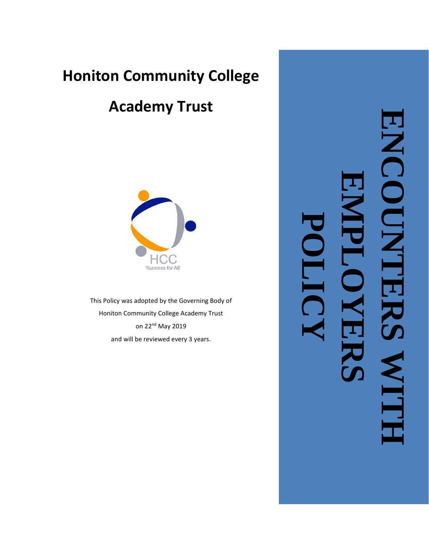# **Honiton Community College**

# **Academy Trust**



This Policy was adopted by the Governing Body of Honiton Community College Academy Trust on 22nd May 2019 and will be reviewed every 3 years.

**ENCOUNTERS WITH**  NCOUNTER **EMPLOYERS POLICYNTT**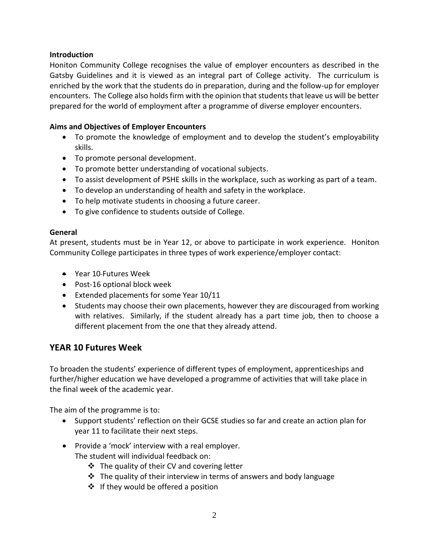#### **Introduction**

Honiton Community College recognises the value of employer encounters as described in the Gatsby Guidelines and it is viewed as an integral part of College activity. The curriculum is enriched by the work that the students do in preparation, during and the follow-up for employer encounters. The College also holds firm with the opinion that students that leave us will be better prepared for the world of employment after a programme of diverse employer encounters.

#### **Aims and Objectives of Employer Encounters**

- To promote the knowledge of employment and to develop the student's employability skills.
- To promote personal development.
- To promote better understanding of vocational subjects.
- To assist development of PSHE skills in the workplace, such as working as part of a team.
- To develop an understanding of health and safety in the workplace.
- To help motivate students in choosing a future career.
- To give confidence to students outside of College.

#### **General**

At present, students must be in Year 12, or above to participate in work experience. Honiton Community College participates in three types of work experience/employer contact:

- Year 10 Futures Week
- Post-16 optional block week
- Extended placements for some Year 10/11
- Students may choose their own placements, however they are discouraged from working with relatives. Similarly, if the student already has a part time job, then to choose a different placement from the one that they already attend.

### **YEAR 10 Futures Week**

To broaden the students' experience of different types of employment, apprenticeships and further/higher education we have developed a programme of activities that will take place in the final week of the academic year.

The aim of the programme is to:

- Support students' reflection on their GCSE studies so far and create an action plan for year 11 to facilitate their next steps.
- Provide a 'mock' interview with a real employer. The student will individual feedback on:
	- ❖ The quality of their CV and covering letter
	- $\cdot$  The quality of their interview in terms of answers and body language
	- ❖ If they would be offered a position